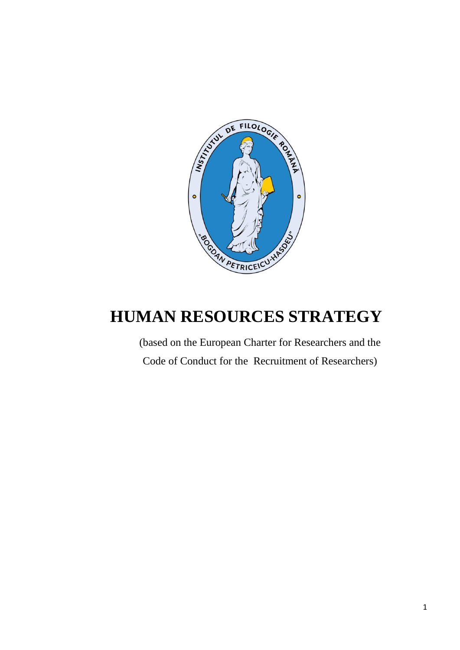

# **HUMAN RESOURCES STRATEGY**

(based on the European Charter for Researchers and the Code of Conduct for the Recruitment of Researchers)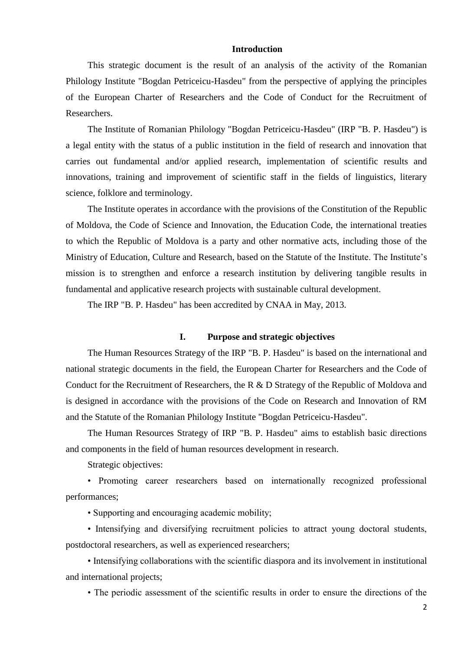# **Introduction**

This strategic document is the result of an analysis of the activity of the Romanian Philology Institute "Bogdan Petriceicu-Hasdeu" from the perspective of applying the principles of the European Charter of Researchers and the Code of Conduct for the Recruitment of Researchers.

The Institute of Romanian Philology "Bogdan Petriceicu-Hasdeu" (IRP "B. P. Hasdeu") is a legal entity with the status of a public institution in the field of research and innovation that carries out fundamental and/or applied research, implementation of scientific results and innovations, training and improvement of scientific staff in the fields of linguistics, literary science, folklore and terminology.

The Institute operates in accordance with the provisions of the Constitution of the Republic of Moldova, the Code of Science and Innovation, the Education Code, the international treaties to which the Republic of Moldova is a party and other normative acts, including those of the Ministry of Education, Culture and Research, based on the Statute of the Institute. The Institute's mission is to strengthen and enforce a research institution by delivering tangible results in fundamental and applicative research projects with sustainable cultural development.

The IRP "B. P. Hasdeu" has been accredited by CNAA in May, 2013.

# **I. Purpose and strategic objectives**

The Human Resources Strategy of the IRP "B. P. Hasdeu" is based on the international and national strategic documents in the field, the European Charter for Researchers and the Code of Conduct for the Recruitment of Researchers, the R & D Strategy of the Republic of Moldova and is designed in accordance with the provisions of the Code on Research and Innovation of RM and the Statute of the Romanian Philology Institute "Bogdan Petriceicu-Hasdeu".

The Human Resources Strategy of IRP "B. P. Hasdeu" aims to establish basic directions and components in the field of human resources development in research.

Strategic objectives:

• Promoting career researchers based on internationally recognized professional performances;

• Supporting and encouraging academic mobility;

• Intensifying and diversifying recruitment policies to attract young doctoral students, postdoctoral researchers, as well as experienced researchers;

• Intensifying collaborations with the scientific diaspora and its involvement in institutional and international projects;

• The periodic assessment of the scientific results in order to ensure the directions of the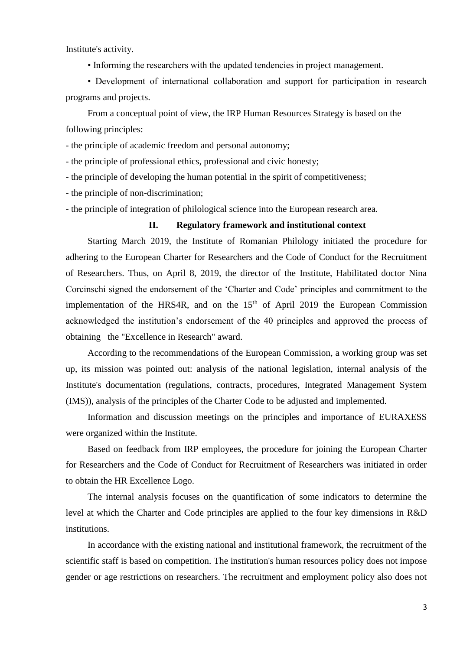Institute's activity.

• Informing the researchers with the updated tendencies in project management.

• Development of international collaboration and support for participation in research programs and projects.

From a conceptual point of view, the IRP Human Resources Strategy is based on the following principles:

- the principle of academic freedom and personal autonomy;

- the principle of professional ethics, professional and civic honesty;

- the principle of developing the human potential in the spirit of competitiveness;

- the principle of non-discrimination;

- the principle of integration of philological science into the European research area.

## **II. Regulatory framework and institutional context**

Starting March 2019, the Institute of Romanian Philology initiated the procedure for adhering to the European Charter for Researchers and the Code of Conduct for the Recruitment of Researchers. Thus, on April 8, 2019, the director of the Institute, Habilitated doctor Nina Corcinschi signed the endorsement of the 'Charter and Code' principles and commitment to the implementation of the HRS4R, and on the  $15<sup>th</sup>$  of April 2019 the European Commission acknowledged the institution's endorsement of the 40 principles and approved the process of obtaining the "Excellence in Research" award.

According to the recommendations of the European Commission, a working group was set up, its mission was pointed out: analysis of the national legislation, internal analysis of the Institute's documentation (regulations, contracts, procedures, Integrated Management System (IMS)), analysis of the principles of the Charter Code to be adjusted and implemented.

Information and discussion meetings on the principles and importance of EURAXESS were organized within the Institute.

Based on feedback from IRP employees, the procedure for joining the European Charter for Researchers and the Code of Conduct for Recruitment of Researchers was initiated in order to obtain the HR Excellence Logo.

The internal analysis focuses on the quantification of some indicators to determine the level at which the Charter and Code principles are applied to the four key dimensions in R&D institutions.

In accordance with the existing national and institutional framework, the recruitment of the scientific staff is based on competition. The institution's human resources policy does not impose gender or age restrictions on researchers. The recruitment and employment policy also does not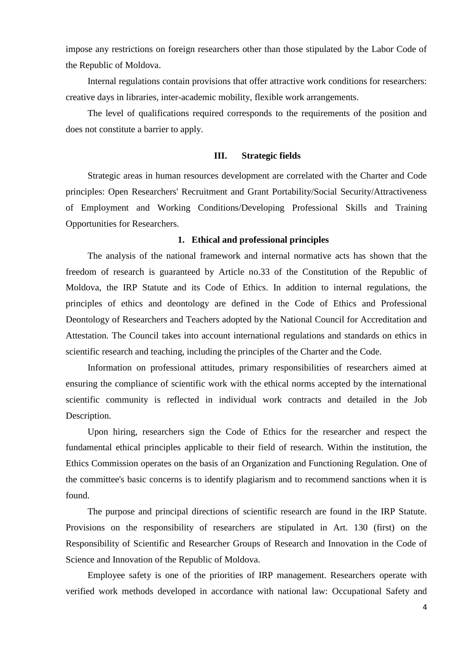impose any restrictions on foreign researchers other than those stipulated by the Labor Code of the Republic of Moldova.

Internal regulations contain provisions that offer attractive work conditions for researchers: creative days in libraries, inter-academic mobility, flexible work arrangements.

The level of qualifications required corresponds to the requirements of the position and does not constitute a barrier to apply.

# **III. Strategic fields**

Strategic areas in human resources development are correlated with the Charter and Code principles: Open Researchers' Recruitment and Grant Portability/Social Security/Attractiveness of Employment and Working Conditions/Developing Professional Skills and Training Opportunities for Researchers.

# **1. Ethical and professional principles**

The analysis of the national framework and internal normative acts has shown that the freedom of research is guaranteed by Article no.33 of the Constitution of the Republic of Moldova, the IRP Statute and its Code of Ethics. In addition to internal regulations, the principles of ethics and deontology are defined in the Code of Ethics and Professional Deontology of Researchers and Teachers adopted by the National Council for Accreditation and Attestation. The Council takes into account international regulations and standards on ethics in scientific research and teaching, including the principles of the Charter and the Code.

Information on professional attitudes, primary responsibilities of researchers aimed at ensuring the compliance of scientific work with the ethical norms accepted by the international scientific community is reflected in individual work contracts and detailed in the Job Description.

Upon hiring, researchers sign the Code of Ethics for the researcher and respect the fundamental ethical principles applicable to their field of research. Within the institution, the Ethics Commission operates on the basis of an Organization and Functioning Regulation. One of the committee's basic concerns is to identify plagiarism and to recommend sanctions when it is found.

The purpose and principal directions of scientific research are found in the IRP Statute. Provisions on the responsibility of researchers are stipulated in Art. 130 (first) on the Responsibility of Scientific and Researcher Groups of Research and Innovation in the Code of Science and Innovation of the Republic of Moldova.

Employee safety is one of the priorities of IRP management. Researchers operate with verified work methods developed in accordance with national law: Occupational Safety and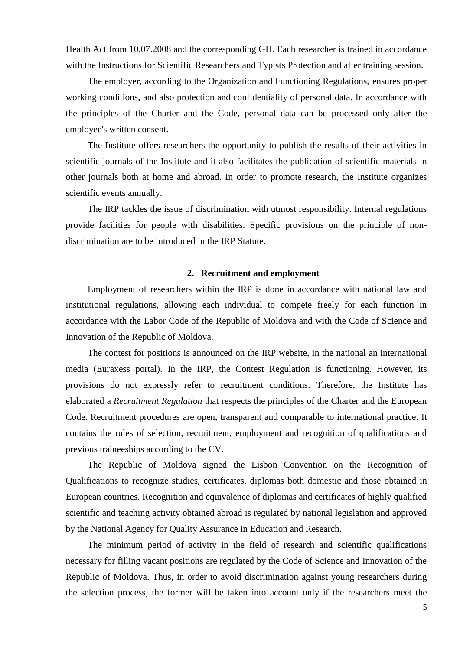Health Act from 10.07.2008 and the corresponding GH. Each researcher is trained in accordance with the Instructions for Scientific Researchers and Typists Protection and after training session.

The employer, according to the Organization and Functioning Regulations, ensures proper working conditions, and also protection and confidentiality of personal data. In accordance with the principles of the Charter and the Code, personal data can be processed only after the employee's written consent.

The Institute offers researchers the opportunity to publish the results of their activities in scientific journals of the Institute and it also facilitates the publication of scientific materials in other journals both at home and abroad. In order to promote research, the Institute organizes scientific events annually.

The IRP tackles the issue of discrimination with utmost responsibility. Internal regulations provide facilities for people with disabilities. Specific provisions on the principle of nondiscrimination are to be introduced in the IRP Statute.

#### **2. Recruitment and employment**

Employment of researchers within the IRP is done in accordance with national law and institutional regulations, allowing each individual to compete freely for each function in accordance with the Labor Code of the Republic of Moldova and with the Code of Science and Innovation of the Republic of Moldova.

The contest for positions is announced on the IRP website, in the national an international media (Euraxess portal). In the IRP, the Contest Regulation is functioning. However, its provisions do not expressly refer to recruitment conditions. Therefore, the Institute has elaborated a *Recruitment Regulation* that respects the principles of the Charter and the European Code. Recruitment procedures are open, transparent and comparable to international practice. It contains the rules of selection, recruitment, employment and recognition of qualifications and previous traineeships according to the CV.

The Republic of Moldova signed the Lisbon Convention on the Recognition of Qualifications to recognize studies, certificates, diplomas both domestic and those obtained in European countries. Recognition and equivalence of diplomas and certificates of highly qualified scientific and teaching activity obtained abroad is regulated by national legislation and approved by the National Agency for Quality Assurance in Education and Research.

The minimum period of activity in the field of research and scientific qualifications necessary for filling vacant positions are regulated by the Code of Science and Innovation of the Republic of Moldova. Thus, in order to avoid discrimination against young researchers during the selection process, the former will be taken into account only if the researchers meet the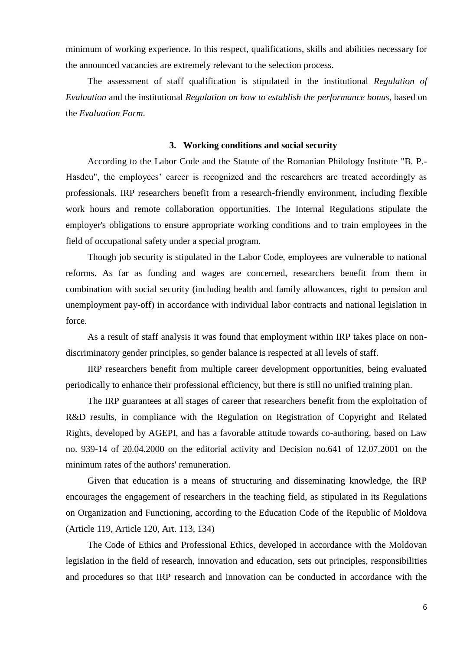minimum of working experience. In this respect, qualifications, skills and abilities necessary for the announced vacancies are extremely relevant to the selection process.

The assessment of staff qualification is stipulated in the institutional *Regulation of Evaluation* and the institutional *Regulation on how to establish the performance bonus*, based on the *Evaluation Form*.

## **3. Working conditions and social security**

According to the Labor Code and the Statute of the Romanian Philology Institute "B. P.- Hasdeu", the employees' career is recognized and the researchers are treated accordingly as professionals. IRP researchers benefit from a research-friendly environment, including flexible work hours and remote collaboration opportunities. The Internal Regulations stipulate the employer's obligations to ensure appropriate working conditions and to train employees in the field of occupational safety under a special program.

Though job security is stipulated in the Labor Code, employees are vulnerable to national reforms. As far as funding and wages are concerned, researchers benefit from them in combination with social security (including health and family allowances, right to pension and unemployment pay-off) in accordance with individual labor contracts and national legislation in force.

As a result of staff analysis it was found that employment within IRP takes place on nondiscriminatory gender principles, so gender balance is respected at all levels of staff.

IRP researchers benefit from multiple career development opportunities, being evaluated periodically to enhance their professional efficiency, but there is still no unified training plan.

The IRP guarantees at all stages of career that researchers benefit from the exploitation of R&D results, in compliance with the Regulation on Registration of Copyright and Related Rights, developed by AGEPI, and has a favorable attitude towards co-authoring, based on Law no. 939-14 of 20.04.2000 on the editorial activity and Decision no.641 of 12.07.2001 on the minimum rates of the authors' remuneration.

Given that education is a means of structuring and disseminating knowledge, the IRP encourages the engagement of researchers in the teaching field, as stipulated in its Regulations on Organization and Functioning, according to the Education Code of the Republic of Moldova (Article 119, Article 120, Art. 113, 134)

The Code of Ethics and Professional Ethics, developed in accordance with the Moldovan legislation in the field of research, innovation and education, sets out principles, responsibilities and procedures so that IRP research and innovation can be conducted in accordance with the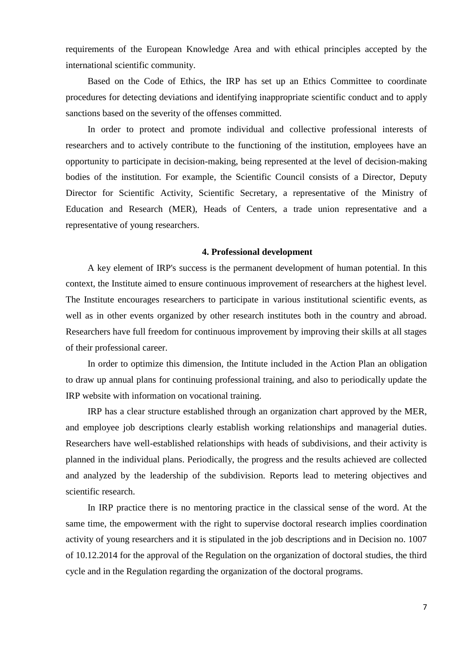requirements of the European Knowledge Area and with ethical principles accepted by the international scientific community.

Based on the Code of Ethics, the IRP has set up an Ethics Committee to coordinate procedures for detecting deviations and identifying inappropriate scientific conduct and to apply sanctions based on the severity of the offenses committed.

In order to protect and promote individual and collective professional interests of researchers and to actively contribute to the functioning of the institution, employees have an opportunity to participate in decision-making, being represented at the level of decision-making bodies of the institution. For example, the Scientific Council consists of a Director, Deputy Director for Scientific Activity, Scientific Secretary, a representative of the Ministry of Education and Research (MER), Heads of Centers, a trade union representative and a representative of young researchers.

## **4. Professional development**

A key element of IRP's success is the permanent development of human potential. In this context, the Institute aimed to ensure continuous improvement of researchers at the highest level. The Institute encourages researchers to participate in various institutional scientific events, as well as in other events organized by other research institutes both in the country and abroad. Researchers have full freedom for continuous improvement by improving their skills at all stages of their professional career.

In order to optimize this dimension, the Intitute included in the Action Plan an obligation to draw up annual plans for continuing professional training, and also to periodically update the IRP website with information on vocational training.

IRP has a clear structure established through an organization chart approved by the MER, and employee job descriptions clearly establish working relationships and managerial duties. Researchers have well-established relationships with heads of subdivisions, and their activity is planned in the individual plans. Periodically, the progress and the results achieved are collected and analyzed by the leadership of the subdivision. Reports lead to metering objectives and scientific research.

In IRP practice there is no mentoring practice in the classical sense of the word. At the same time, the empowerment with the right to supervise doctoral research implies coordination activity of young researchers and it is stipulated in the job descriptions and in Decision no. 1007 of 10.12.2014 for the approval of the Regulation on the organization of doctoral studies, the third cycle and in the Regulation regarding the organization of the doctoral programs.